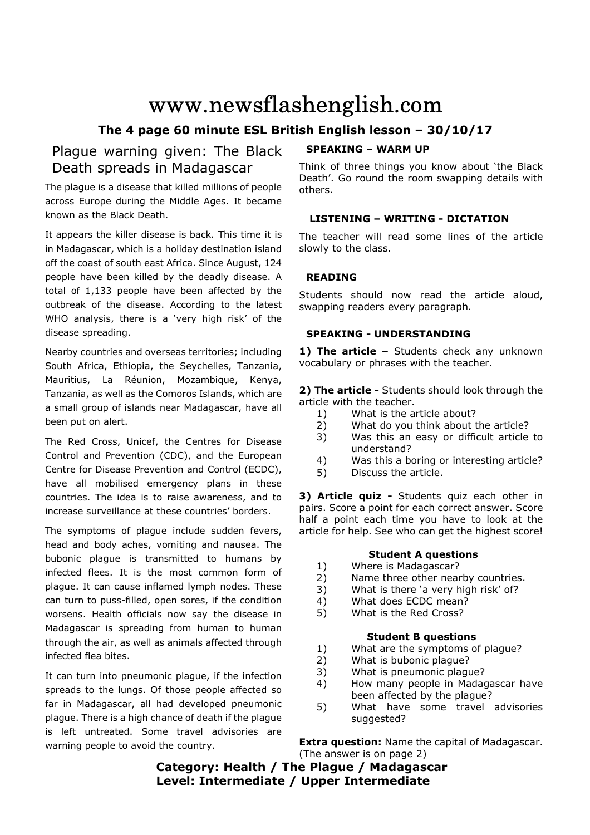# www.newsflashenglish.com

# **The 4 page 60 minute ESL British English lesson – 30/10/17**

# Plague warning given: The Black Death spreads in Madagascar

The plague is a disease that killed millions of people across Europe during the Middle Ages. It became known as the Black Death.

It appears the killer disease is back. This time it is in Madagascar, which is a holiday destination island off the coast of south east Africa. Since August, 124 people have been killed by the deadly disease. A total of 1,133 people have been affected by the outbreak of the disease. According to the latest WHO analysis, there is a 'very high risk' of the disease spreading.

Nearby countries and overseas territories; including South Africa, Ethiopia, the Seychelles, Tanzania, Mauritius, La Réunion, Mozambique, Kenya, Tanzania, as well as the Comoros Islands, which are a small group of islands near Madagascar, have all been put on alert.

The Red Cross, Unicef, the Centres for Disease Control and Prevention (CDC), and the European Centre for Disease Prevention and Control (ECDC), have all mobilised emergency plans in these countries. The idea is to raise awareness, and to increase surveillance at these countries' borders.

The symptoms of plague include sudden fevers, head and body aches, vomiting and nausea. The bubonic plague is transmitted to humans by infected flees. It is the most common form of plague. It can cause inflamed lymph nodes. These can turn to puss-filled, open sores, if the condition worsens. Health officials now say the disease in Madagascar is spreading from human to human through the air, as well as animals affected through infected flea bites.

It can turn into pneumonic plague, if the infection spreads to the lungs. Of those people affected so far in Madagascar, all had developed pneumonic plague. There is a high chance of death if the plague is left untreated. Some travel advisories are warning people to avoid the country.

#### **SPEAKING – WARM UP**

Think of three things you know about 'the Black Death'. Go round the room swapping details with others.

#### **LISTENING – WRITING - DICTATION**

The teacher will read some lines of the article slowly to the class.

#### **READING**

Students should now read the article aloud, swapping readers every paragraph.

#### **SPEAKING - UNDERSTANDING**

1) The article - Students check any unknown vocabulary or phrases with the teacher.

**2) The article -** Students should look through the article with the teacher.

- 1) What is the article about?
- 2) What do you think about the article?
- 3) Was this an easy or difficult article to understand?
- 4) Was this a boring or interesting article?
- 5) Discuss the article.

**3) Article quiz -** Students quiz each other in pairs. Score a point for each correct answer. Score half a point each time you have to look at the article for help. See who can get the highest score!

### **Student A questions**

- 1) Where is Madagascar?
- 2) Name three other nearby countries.
- 3) What is there 'a very high risk' of?
- 4) What does ECDC mean?
- 5) What is the Red Cross?

#### **Student B questions**

- 1) What are the symptoms of plague?
- 2) What is bubonic plague?
- 3) What is pneumonic plague?
- 4) How many people in Madagascar have been affected by the plague?
- 5) What have some travel advisories suggested?

**Extra question:** Name the capital of Madagascar. (The answer is on page 2)

# **Category: Health / The Plague / Madagascar Level: Intermediate / Upper Intermediate**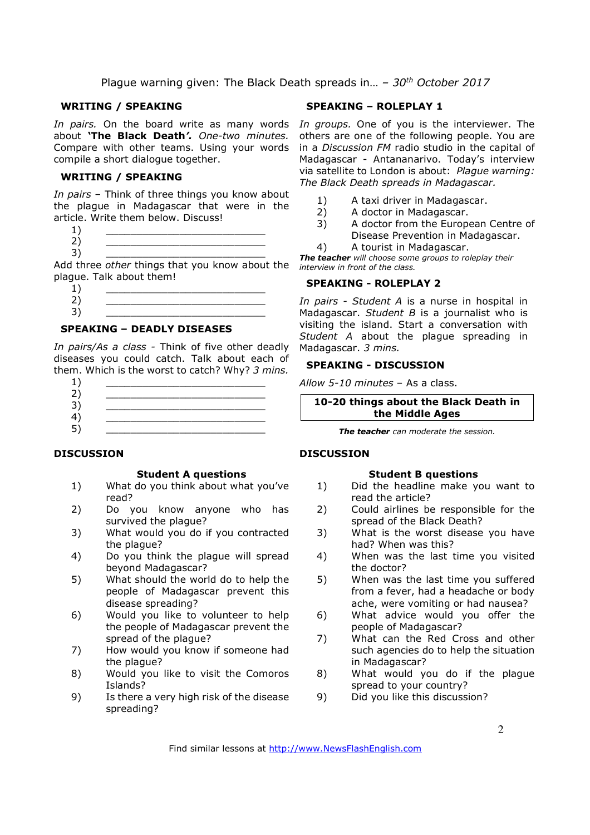#### **WRITING / SPEAKING**

about **'The Black Death***'. One-two minutes.*  Compare with other teams. Using your words compile a short dialogue together.

#### **WRITING / SPEAKING**

*In pairs* – Think of three things you know about the plague in Madagascar that were in the article. Write them below. Discuss!

 $1)$   $\qquad \qquad$ 2) \_\_\_\_\_\_\_\_\_\_\_\_\_\_\_\_\_\_\_\_\_\_\_\_\_\_

3) \_\_\_\_\_\_\_\_\_\_\_\_\_\_\_\_\_\_\_\_\_\_\_\_\_\_ Add three *other* things that you know about the plague. Talk about them!

 $1)$   $\qquad \qquad$ 2) \_\_\_\_\_\_\_\_\_\_\_\_\_\_\_\_\_\_\_\_\_\_\_\_\_\_ 3) \_\_\_\_\_\_\_\_\_\_\_\_\_\_\_\_\_\_\_\_\_\_\_\_\_\_

#### **SPEAKING – DEADLY DISEASES**

*In pairs/As a class -* Think of five other deadly diseases you could catch. Talk about each of them. Which is the worst to catch? Why? *3 mins.*

- $1)$   $\qquad \qquad$
- 2) \_\_\_\_\_\_\_\_\_\_\_\_\_\_\_\_\_\_\_\_\_\_\_\_\_\_
- 3) \_\_\_\_\_\_\_\_\_\_\_\_\_\_\_\_\_\_\_\_\_\_\_\_\_\_ 4) \_\_\_\_\_\_\_\_\_\_\_\_\_\_\_\_\_\_\_\_\_\_\_\_\_\_
- 5) <u>\_\_\_\_\_\_\_\_\_\_\_\_\_\_\_\_\_\_\_\_\_\_\_\_\_\_\_\_\_\_\_</u>

#### **DISCUSSION**

#### **Student A questions**

- 1) What do you think about what you've read?
- 2) Do you know anyone who has survived the plague?
- 3) What would you do if you contracted the plague?
- 4) Do you think the plague will spread beyond Madagascar?
- 5) What should the world do to help the people of Madagascar prevent this disease spreading?
- 6) Would you like to volunteer to help the people of Madagascar prevent the spread of the plague?
- 7) How would you know if someone had the plague?
- 8) Would you like to visit the Comoros Islands?
- 9) Is there a very high risk of the disease spreading?

#### **SPEAKING – ROLEPLAY 1**

In pairs. On the board write as many words In groups. One of you is the interviewer. The others are one of the following people. You are in a *Discussion FM* radio studio in the capital of Madagascar - Antananarivo. Today's interview via satellite to London is about: *Plague warning: The Black Death spreads in Madagascar.*

- 1) A taxi driver in Madagascar.
- 2) A doctor in Madagascar.
- 3) A doctor from the European Centre of Disease Prevention in Madagascar.
- 4) A tourist in Madagascar.

*The teacher will choose some groups to roleplay their interview in front of the class.* 

#### **SPEAKING - ROLEPLAY 2**

*In pairs - Student A* is a nurse in hospital in Madagascar. *Student B* is a journalist who is visiting the island. Start a conversation with *Student A* about the plague spreading in Madagascar. *3 mins.*

#### **SPEAKING - DISCUSSION**

*Allow 5-10 minutes* – As a class.

#### **10-20 things about the Black Death in the Middle Ages**

*The teacher can moderate the session.*

#### **DISCUSSION**

#### **Student B questions**

- 1) Did the headline make you want to read the article?
- 2) Could airlines be responsible for the spread of the Black Death?
- 3) What is the worst disease you have had? When was this?
- 4) When was the last time you visited the doctor?
- 5) When was the last time you suffered from a fever, had a headache or body ache, were vomiting or had nausea?
- 6) What advice would you offer the people of Madagascar?
- 7) What can the Red Cross and other such agencies do to help the situation in Madagascar?
- 8) What would you do if the plague spread to your country?
- 9) Did you like this discussion?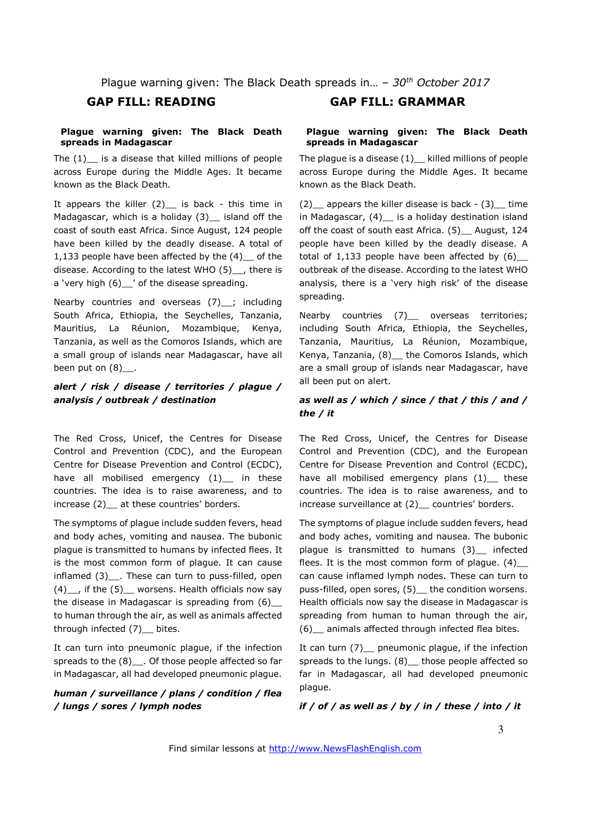#### **Plague warning given: The Black Death spreads in Madagascar**

The  $(1)$  is a disease that killed millions of people across Europe during the Middle Ages. It became known as the Black Death.

It appears the killer  $(2)$  is back - this time in Madagascar, which is a holiday  $(3)$  island off the coast of south east Africa. Since August, 124 people have been killed by the deadly disease. A total of 1,133 people have been affected by the (4) of the disease. According to the latest WHO (5)\_\_, there is a 'very high (6) ' of the disease spreading.

Nearby countries and overseas (7) ; including South Africa, Ethiopia, the Seychelles, Tanzania, Mauritius, La Réunion, Mozambique, Kenya, Tanzania, as well as the Comoros Islands, which are a small group of islands near Madagascar, have all been put on  $(8)$ .

#### *alert / risk / disease / territories / plague / analysis / outbreak / destination*

The Red Cross, Unicef, the Centres for Disease Control and Prevention (CDC), and the European Centre for Disease Prevention and Control (ECDC), have all mobilised emergency (1)\_ in these countries. The idea is to raise awareness, and to increase (2) at these countries' borders.

The symptoms of plague include sudden fevers, head and body aches, vomiting and nausea. The bubonic plague is transmitted to humans by infected flees. It is the most common form of plague. It can cause inflamed (3) . These can turn to puss-filled, open  $(4)$ <sub>,</sub> if the  $(5)$  worsens. Health officials now say the disease in Madagascar is spreading from (6)\_\_ to human through the air, as well as animals affected through infected (7) bites.

It can turn into pneumonic plague, if the infection spreads to the  $(8)$ . Of those people affected so far in Madagascar, all had developed pneumonic plague.

#### *human / surveillance / plans / condition / flea / lungs / sores / lymph nodes*

### **GAP FILL: READING GAP FILL: GRAMMAR**

#### **Plague warning given: The Black Death spreads in Madagascar**

The plague is a disease  $(1)$  killed millions of people across Europe during the Middle Ages. It became known as the Black Death.

 $(2)$  appears the killer disease is back -  $(3)$  time in Madagascar, (4)\_\_ is a holiday destination island off the coast of south east Africa. (5) \_\_ August, 124 people have been killed by the deadly disease. A total of  $1,133$  people have been affected by  $(6)$ outbreak of the disease. According to the latest WHO analysis, there is a 'very high risk' of the disease spreading.

Nearby countries (7) overseas territories; including South Africa, Ethiopia, the Seychelles, Tanzania, Mauritius, La Réunion, Mozambique, Kenya, Tanzania, (8) the Comoros Islands, which are a small group of islands near Madagascar, have all been put on alert.

#### *as well as / which / since / that / this / and / the / it*

The Red Cross, Unicef, the Centres for Disease Control and Prevention (CDC), and the European Centre for Disease Prevention and Control (ECDC), have all mobilised emergency plans (1) these countries. The idea is to raise awareness, and to increase surveillance at (2) countries' borders.

The symptoms of plague include sudden fevers, head and body aches, vomiting and nausea. The bubonic plague is transmitted to humans (3) infected flees. It is the most common form of plague.  $(4)$ can cause inflamed lymph nodes. These can turn to puss-filled, open sores, (5) the condition worsens. Health officials now say the disease in Madagascar is spreading from human to human through the air, (6)\_\_ animals affected through infected flea bites.

It can turn (7) pneumonic plague, if the infection spreads to the lungs. (8) those people affected so far in Madagascar, all had developed pneumonic plague.

*if / of / as well as / by / in / these / into / it*